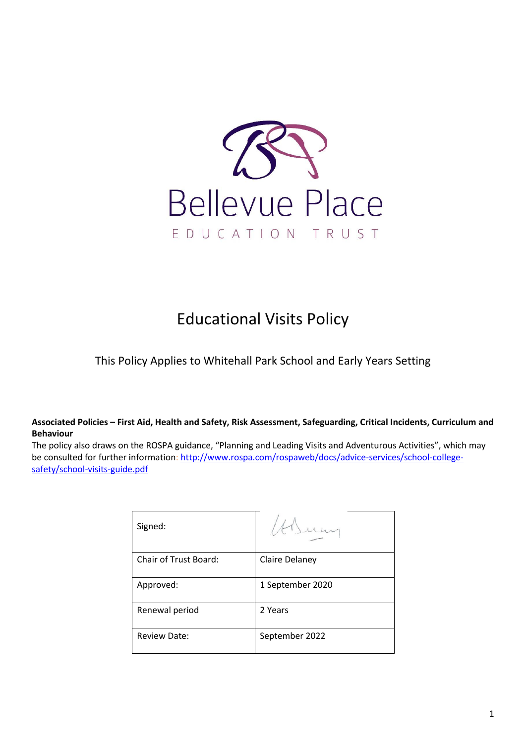

# Educational Visits Policy

This Policy Applies to Whitehall Park School and Early Years Setting

#### **Associated Policies – First Aid, Health and Safety, Risk Assessment, Safeguarding, Critical Incidents, Curriculum and Behaviour**

The policy also draws on the ROSPA guidance, "Planning and Leading Visits and Adventurous Activities", which may be consulted for further information: [http://www.rospa.com/rospaweb/docs/advice-services/school-college](http://www.rospa.com/rospaweb/docs/advice-services/school-college-safety/school-visits-guide.pdf)[safety/school-visits-guide.pdf](http://www.rospa.com/rospaweb/docs/advice-services/school-college-safety/school-visits-guide.pdf)

| Signed:                      |                  |
|------------------------------|------------------|
| <b>Chair of Trust Board:</b> | Claire Delaney   |
| Approved:                    | 1 September 2020 |
| Renewal period               | 2 Years          |
| <b>Review Date:</b>          | September 2022   |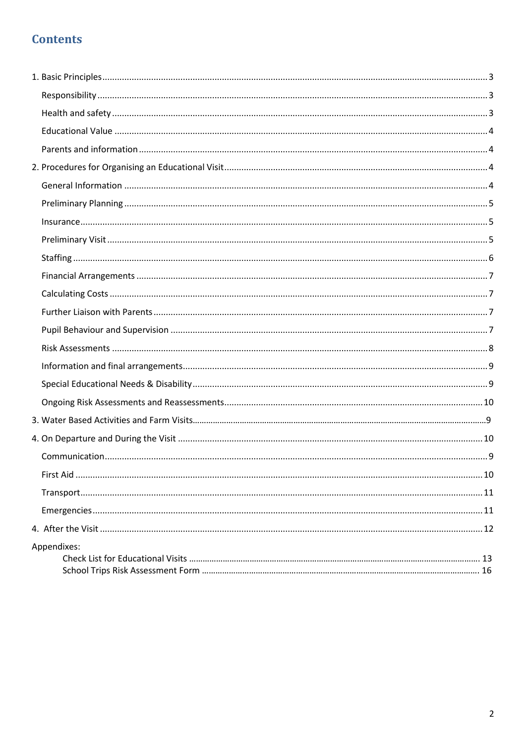## **Contents**

| Appendixes: |  |
|-------------|--|
|             |  |
|             |  |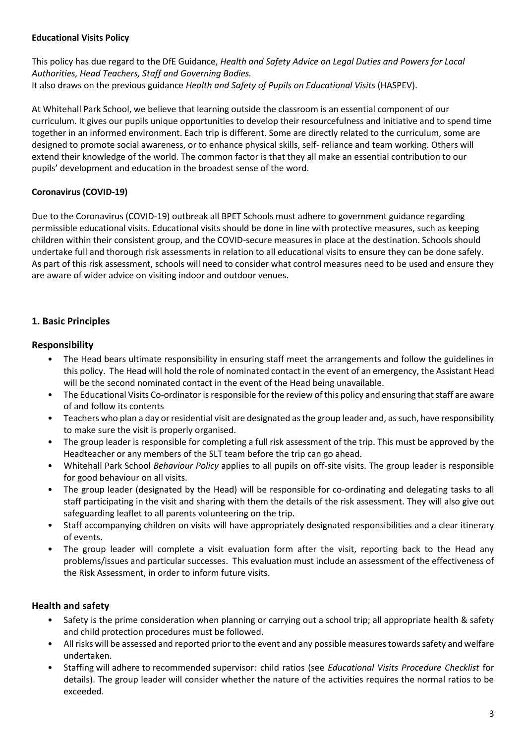#### **Educational Visits Policy**

This policy has due regard to the DfE Guidance, *Health and Safety Advice on Legal Duties and Powers for Local Authorities, Head Teachers, Staff and Governing Bodies.*  It also draws on the previous guidance *Health and Safety of Pupils on Educational Visits* (HASPEV).

At Whitehall Park School, we believe that learning outside the classroom is an essential component of our curriculum. It gives our pupils unique opportunities to develop their resourcefulness and initiative and to spend time together in an informed environment. Each trip is different. Some are directly related to the curriculum, some are designed to promote social awareness, or to enhance physical skills, self- reliance and team working. Others will extend their knowledge of the world. The common factor is that they all make an essential contribution to our pupils' development and education in the broadest sense of the word.

#### **Coronavirus (COVID-19)**

Due to the Coronavirus (COVID-19) outbreak all BPET Schools must adhere to government guidance regarding permissible educational visits. Educational visits should be done in line with protective measures, such as keeping children within their consistent group, and the COVID-secure measures in place at the destination. Schools should undertake full and thorough risk assessments in relation to all educational visits to ensure they can be done safely. As part of this risk assessment, schools will need to consider what control measures need to be used and ensure they are aware of wider advice on visiting indoor and outdoor venues.

#### <span id="page-2-0"></span>**1. Basic Principles**

#### <span id="page-2-1"></span>**Responsibility**

- The Head bears ultimate responsibility in ensuring staff meet the arrangements and follow the guidelines in this policy. The Head will hold the role of nominated contact in the event of an emergency, the Assistant Head will be the second nominated contact in the event of the Head being unavailable.
- The Educational Visits Co-ordinator is responsible for the review of this policy and ensuring that staff are aware of and follow its contents
- Teachers who plan a day or residential visit are designated as the group leader and, as such, have responsibility to make sure the visit is properly organised.
- The group leader is responsible for completing a full risk assessment of the trip. This must be approved by the Headteacher or any members of the SLT team before the trip can go ahead.
- Whitehall Park School *Behaviour Policy* applies to all pupils on off-site visits. The group leader is responsible for good behaviour on all visits.
- The group leader (designated by the Head) will be responsible for co-ordinating and delegating tasks to all staff participating in the visit and sharing with them the details of the risk assessment. They will also give out safeguarding leaflet to all parents volunteering on the trip.
- Staff accompanying children on visits will have appropriately designated responsibilities and a clear itinerary of events.
- The group leader will complete a visit evaluation form after the visit, reporting back to the Head any problems/issues and particular successes. This evaluation must include an assessment of the effectiveness of the Risk Assessment, in order to inform future visits.

#### <span id="page-2-2"></span>**Health and safety**

- Safety is the prime consideration when planning or carrying out a school trip; all appropriate health & safety and child protection procedures must be followed.
- All risks will be assessed and reported prior to the event and any possible measures towards safety and welfare undertaken.
- Staffing will adhere to recommended supervisor: child ratios (see *Educational Visits Procedure Checklist* for details). The group leader will consider whether the nature of the activities requires the normal ratios to be exceeded.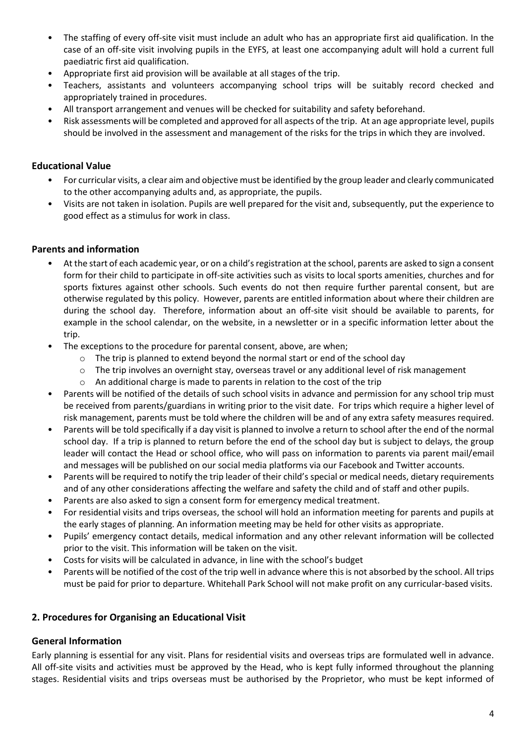- The staffing of every off-site visit must include an adult who has an appropriate first aid qualification. In the case of an off-site visit involving pupils in the EYFS, at least one accompanying adult will hold a current full paediatric first aid qualification.
- Appropriate first aid provision will be available at all stages of the trip.
- Teachers, assistants and volunteers accompanying school trips will be suitably record checked and appropriately trained in procedures.
- All transport arrangement and venues will be checked for suitability and safety beforehand.
- Risk assessments will be completed and approved for all aspects of the trip. At an age appropriate level, pupils should be involved in the assessment and management of the risks for the trips in which they are involved.

#### <span id="page-3-0"></span>**Educational Value**

- For curricular visits, a clear aim and objective must be identified by the group leader and clearly communicated to the other accompanying adults and, as appropriate, the pupils.
- Visits are not taken in isolation. Pupils are well prepared for the visit and, subsequently, put the experience to good effect as a stimulus for work in class.

#### <span id="page-3-1"></span>**Parents and information**

- At the start of each academic year, or on a child's registration at the school, parents are asked to sign a consent form for their child to participate in off-site activities such as visits to local sports amenities, churches and for sports fixtures against other schools. Such events do not then require further parental consent, but are otherwise regulated by this policy. However, parents are entitled information about where their children are during the school day. Therefore, information about an off-site visit should be available to parents, for example in the school calendar, on the website, in a newsletter or in a specific information letter about the trip.
- The exceptions to the procedure for parental consent, above, are when;
	- $\circ$  The trip is planned to extend beyond the normal start or end of the school day
	- o The trip involves an overnight stay, overseas travel or any additional level of risk management
	- o An additional charge is made to parents in relation to the cost of the trip
- Parents will be notified of the details of such school visits in advance and permission for any school trip must be received from parents/guardians in writing prior to the visit date. For trips which require a higher level of risk management, parents must be told where the children will be and of any extra safety measures required.
- Parents will be told specifically if a day visit is planned to involve a return to school after the end of the normal school day. If a trip is planned to return before the end of the school day but is subject to delays, the group leader will contact the Head or school office, who will pass on information to parents via parent mail/email and messages will be published on our social media platforms via our Facebook and Twitter accounts.
- Parents will be required to notify the trip leader of their child's special or medical needs, dietary requirements and of any other considerations affecting the welfare and safety the child and of staff and other pupils.
- <span id="page-3-2"></span>Parents are also asked to sign a consent form for emergency medical treatment.
- For residential visits and trips overseas, the school will hold an information meeting for parents and pupils at the early stages of planning. An information meeting may be held for other visits as appropriate.
- Pupils' emergency contact details, medical information and any other relevant information will be collected prior to the visit. This information will be taken on the visit.
- Costs for visits will be calculated in advance, in line with the school's budget
- Parents will be notified of the cost of the trip well in advance where this is not absorbed by the school. All trips must be paid for prior to departure. Whitehall Park School will not make profit on any curricular-based visits.

#### **2. Procedures for Organising an Educational Visit**

#### <span id="page-3-3"></span>**General Information**

Early planning is essential for any visit. Plans for residential visits and overseas trips are formulated well in advance. All off-site visits and activities must be approved by the Head, who is kept fully informed throughout the planning stages. Residential visits and trips overseas must be authorised by the Proprietor, who must be kept informed of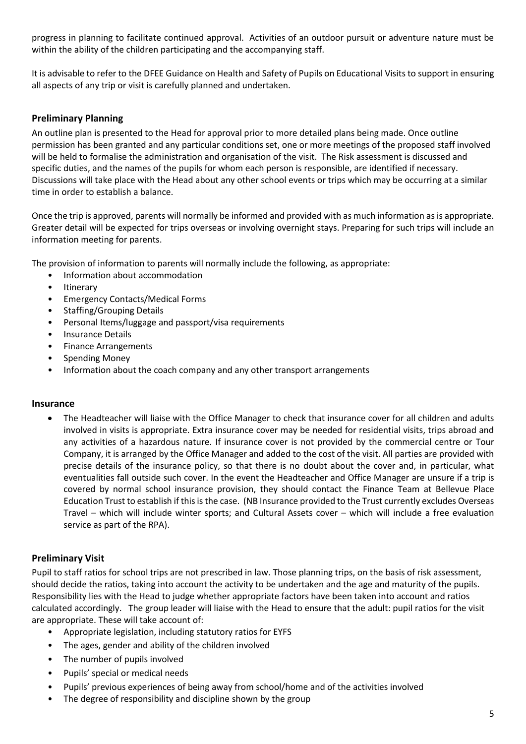progress in planning to facilitate continued approval. Activities of an outdoor pursuit or adventure nature must be within the ability of the children participating and the accompanying staff.

It is advisable to refer to the DFEE Guidance on Health and Safety of Pupils on Educational Visits to support in ensuring all aspects of any trip or visit is carefully planned and undertaken.

#### <span id="page-4-0"></span>**Preliminary Planning**

An outline plan is presented to the Head for approval prior to more detailed plans being made. Once outline permission has been granted and any particular conditions set, one or more meetings of the proposed staff involved will be held to formalise the administration and organisation of the visit. The Risk assessment is discussed and specific duties, and the names of the pupils for whom each person is responsible, are identified if necessary. Discussions will take place with the Head about any other school events or trips which may be occurring at a similar time in order to establish a balance.

Once the trip is approved, parents will normally be informed and provided with as much information as is appropriate. Greater detail will be expected for trips overseas or involving overnight stays. Preparing for such trips will include an information meeting for parents.

The provision of information to parents will normally include the following, as appropriate:

- Information about accommodation
- Itinerary
- Emergency Contacts/Medical Forms
- Staffing/Grouping Details
- Personal Items/luggage and passport/visa requirements
- Insurance Details
- Finance Arrangements
- Spending Money
- Information about the coach company and any other transport arrangements

#### <span id="page-4-1"></span>**Insurance**

• The Headteacher will liaise with the Office Manager to check that insurance cover for all children and adults involved in visits is appropriate. Extra insurance cover may be needed for residential visits, trips abroad and any activities of a hazardous nature. If insurance cover is not provided by the commercial centre or Tour Company, it is arranged by the Office Manager and added to the cost of the visit. All parties are provided with precise details of the insurance policy, so that there is no doubt about the cover and, in particular, what eventualities fall outside such cover. In the event the Headteacher and Office Manager are unsure if a trip is covered by normal school insurance provision, they should contact the Finance Team at Bellevue Place Education Trust to establish if this is the case. (NB Insurance provided to the Trust currently excludes Overseas Travel – which will include winter sports; and Cultural Assets cover – which will include a free evaluation service as part of the RPA).

#### <span id="page-4-2"></span>**Preliminary Visit**

Pupil to staff ratios for school trips are not prescribed in law. Those planning trips, on the basis of risk assessment, should decide the ratios, taking into account the activity to be undertaken and the age and maturity of the pupils. Responsibility lies with the Head to judge whether appropriate factors have been taken into account and ratios calculated accordingly. The group leader will liaise with the Head to ensure that the adult: pupil ratios for the visit are appropriate. These will take account of:

- Appropriate legislation, including statutory ratios for EYFS
- The ages, gender and ability of the children involved
- The number of pupils involved
- Pupils' special or medical needs
- Pupils' previous experiences of being away from school/home and of the activities involved
- The degree of responsibility and discipline shown by the group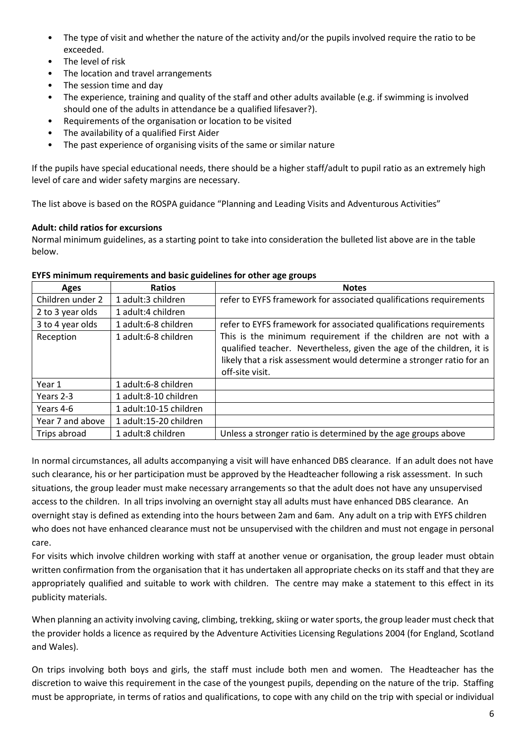- The type of visit and whether the nature of the activity and/or the pupils involved require the ratio to be exceeded.
- The level of risk
- The location and travel arrangements
- The session time and day
- The experience, training and quality of the staff and other adults available (e.g. if swimming is involved should one of the adults in attendance be a qualified lifesaver?).
- Requirements of the organisation or location to be visited
- The availability of a qualified First Aider
- The past experience of organising visits of the same or similar nature

If the pupils have special educational needs, there should be a higher staff/adult to pupil ratio as an extremely high level of care and wider safety margins are necessary.

The list above is based on the ROSPA guidance "Planning and Leading Visits and Adventurous Activities"

#### **Adult: child ratios for excursions**

Normal minimum guidelines, as a starting point to take into consideration the bulleted list above are in the table below.

| Ages             | <b>Ratios</b>          | <b>Notes</b>                                                                                                                                                                                                                        |
|------------------|------------------------|-------------------------------------------------------------------------------------------------------------------------------------------------------------------------------------------------------------------------------------|
| Children under 2 | 1 adult:3 children     | refer to EYFS framework for associated qualifications requirements                                                                                                                                                                  |
| 2 to 3 year olds | 1 adult:4 children     |                                                                                                                                                                                                                                     |
| 3 to 4 year olds | 1 adult:6-8 children   | refer to EYFS framework for associated qualifications requirements                                                                                                                                                                  |
| Reception        | 1 adult:6-8 children   | This is the minimum requirement if the children are not with a<br>qualified teacher. Nevertheless, given the age of the children, it is<br>likely that a risk assessment would determine a stronger ratio for an<br>off-site visit. |
| Year 1           | 1 adult:6-8 children   |                                                                                                                                                                                                                                     |
| Years 2-3        | 1 adult:8-10 children  |                                                                                                                                                                                                                                     |
| Years 4-6        | 1 adult:10-15 children |                                                                                                                                                                                                                                     |
| Year 7 and above | 1 adult:15-20 children |                                                                                                                                                                                                                                     |
| Trips abroad     | 1 adult:8 children     | Unless a stronger ratio is determined by the age groups above                                                                                                                                                                       |

#### **EYFS minimum requirements and basic guidelines for other age groups**

In normal circumstances, all adults accompanying a visit will have enhanced DBS clearance. If an adult does not have such clearance, his or her participation must be approved by the Headteacher following a risk assessment. In such situations, the group leader must make necessary arrangements so that the adult does not have any unsupervised access to the children. In all trips involving an overnight stay all adults must have enhanced DBS clearance. An overnight stay is defined as extending into the hours between 2am and 6am. Any adult on a trip with EYFS children who does not have enhanced clearance must not be unsupervised with the children and must not engage in personal care.

For visits which involve children working with staff at another venue or organisation, the group leader must obtain written confirmation from the organisation that it has undertaken all appropriate checks on its staff and that they are appropriately qualified and suitable to work with children. The centre may make a statement to this effect in its publicity materials.

When planning an activity involving caving, climbing, trekking, skiing or water sports, the group leader must check that the provider holds a licence as required by the Adventure Activities Licensing Regulations 2004 (for England, Scotland and Wales).

On trips involving both boys and girls, the staff must include both men and women. The Headteacher has the discretion to waive this requirement in the case of the youngest pupils, depending on the nature of the trip. Staffing must be appropriate, in terms of ratios and qualifications, to cope with any child on the trip with special or individual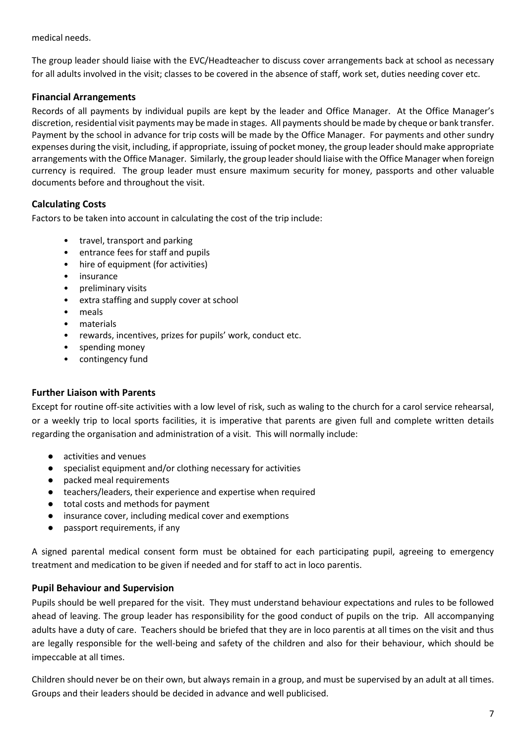medical needs.

The group leader should liaise with the EVC/Headteacher to discuss cover arrangements back at school as necessary for all adults involved in the visit; classes to be covered in the absence of staff, work set, duties needing cover etc.

#### <span id="page-6-0"></span>**Financial Arrangements**

Records of all payments by individual pupils are kept by the leader and Office Manager. At the Office Manager's discretion, residential visit payments may be made in stages. All payments should be made by cheque or bank transfer. Payment by the school in advance for trip costs will be made by the Office Manager. For payments and other sundry expenses during the visit, including, if appropriate, issuing of pocket money, the group leader should make appropriate arrangements with the Office Manager. Similarly, the group leader should liaise with the Office Manager when foreign currency is required. The group leader must ensure maximum security for money, passports and other valuable documents before and throughout the visit.

#### <span id="page-6-1"></span>**Calculating Costs**

Factors to be taken into account in calculating the cost of the trip include:

- travel, transport and parking
- entrance fees for staff and pupils
- hire of equipment (for activities)
- insurance
- preliminary visits
- extra staffing and supply cover at school
- meals
- materials
- rewards, incentives, prizes for pupils' work, conduct etc.
- spending money
- contingency fund

#### <span id="page-6-2"></span>**Further Liaison with Parents**

<span id="page-6-3"></span>Except for routine off-site activities with a low level of risk, such as waling to the church for a carol service rehearsal, or a weekly trip to local sports facilities, it is imperative that parents are given full and complete written details regarding the organisation and administration of a visit. This will normally include:

- activities and venues
- specialist equipment and/or clothing necessary for activities
- packed meal requirements
- teachers/leaders, their experience and expertise when required
- total costs and methods for payment
- insurance cover, including medical cover and exemptions
- passport requirements, if any

A signed parental medical consent form must be obtained for each participating pupil, agreeing to emergency treatment and medication to be given if needed and for staff to act in loco parentis.

#### **Pupil Behaviour and Supervision**

Pupils should be well prepared for the visit. They must understand behaviour expectations and rules to be followed ahead of leaving. The group leader has responsibility for the good conduct of pupils on the trip. All accompanying adults have a duty of care. Teachers should be briefed that they are in loco parentis at all times on the visit and thus are legally responsible for the well-being and safety of the children and also for their behaviour, which should be impeccable at all times.

Children should never be on their own, but always remain in a group, and must be supervised by an adult at all times. Groups and their leaders should be decided in advance and well publicised.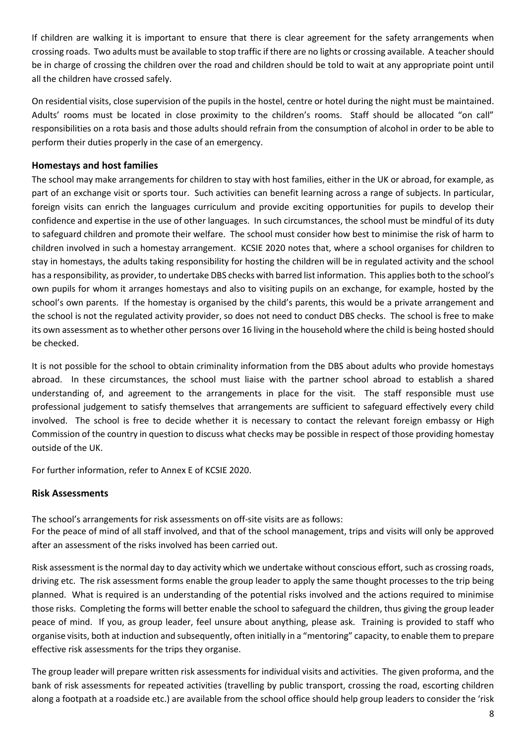If children are walking it is important to ensure that there is clear agreement for the safety arrangements when crossing roads. Two adults must be available to stop traffic if there are no lights or crossing available. A teacher should be in charge of crossing the children over the road and children should be told to wait at any appropriate point until all the children have crossed safely.

On residential visits, close supervision of the pupils in the hostel, centre or hotel during the night must be maintained. Adults' rooms must be located in close proximity to the children's rooms. Staff should be allocated "on call" responsibilities on a rota basis and those adults should refrain from the consumption of alcohol in order to be able to perform their duties properly in the case of an emergency.

#### <span id="page-7-0"></span>**Homestays and host families**

The school may make arrangements for children to stay with host families, either in the UK or abroad, for example, as part of an exchange visit or sports tour. Such activities can benefit learning across a range of subjects. In particular, foreign visits can enrich the languages curriculum and provide exciting opportunities for pupils to develop their confidence and expertise in the use of other languages. In such circumstances, the school must be mindful of its duty to safeguard children and promote their welfare. The school must consider how best to minimise the risk of harm to children involved in such a homestay arrangement. KCSIE 2020 notes that, where a school organises for children to stay in homestays, the adults taking responsibility for hosting the children will be in regulated activity and the school has a responsibility, as provider, to undertake DBS checks with barred list information. This applies both to the school's own pupils for whom it arranges homestays and also to visiting pupils on an exchange, for example, hosted by the school's own parents. If the homestay is organised by the child's parents, this would be a private arrangement and the school is not the regulated activity provider, so does not need to conduct DBS checks. The school is free to make its own assessment as to whether other persons over 16 living in the household where the child is being hosted should be checked.

It is not possible for the school to obtain criminality information from the DBS about adults who provide homestays abroad. In these circumstances, the school must liaise with the partner school abroad to establish a shared understanding of, and agreement to the arrangements in place for the visit. The staff responsible must use professional judgement to satisfy themselves that arrangements are sufficient to safeguard effectively every child involved. The school is free to decide whether it is necessary to contact the relevant foreign embassy or High Commission of the country in question to discuss what checks may be possible in respect of those providing homestay outside of the UK.

For further information, refer to Annex E of KCSIE 2020.

#### **Risk Assessments**

The school's arrangements for risk assessments on off-site visits are as follows:

For the peace of mind of all staff involved, and that of the school management, trips and visits will only be approved after an assessment of the risks involved has been carried out.

Risk assessment is the normal day to day activity which we undertake without conscious effort, such as crossing roads, driving etc. The risk assessment forms enable the group leader to apply the same thought processes to the trip being planned. What is required is an understanding of the potential risks involved and the actions required to minimise those risks. Completing the forms will better enable the school to safeguard the children, thus giving the group leader peace of mind. If you, as group leader, feel unsure about anything, please ask. Training is provided to staff who organise visits, both at induction and subsequently, often initially in a "mentoring" capacity, to enable them to prepare effective risk assessments for the trips they organise.

The group leader will prepare written risk assessments for individual visits and activities. The given proforma, and the bank of risk assessments for repeated activities (travelling by public transport, crossing the road, escorting children along a footpath at a roadside etc.) are available from the school office should help group leaders to consider the 'risk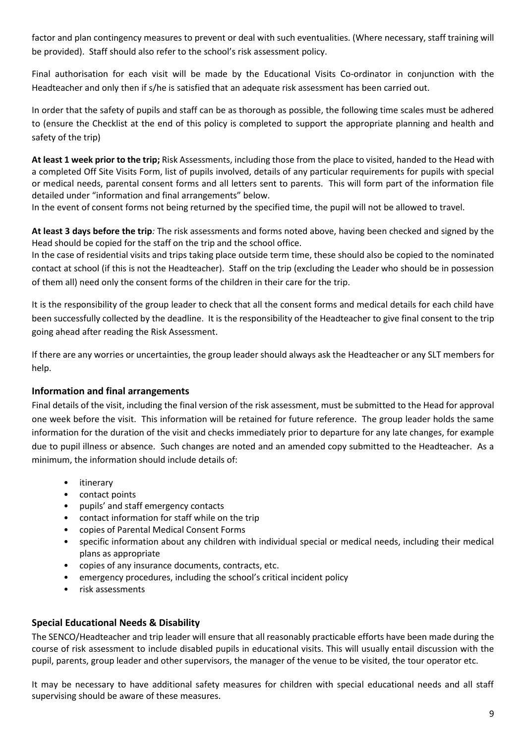factor and plan contingency measures to prevent or deal with such eventualities. (Where necessary, staff training will be provided). Staff should also refer to the school's risk assessment policy.

Final authorisation for each visit will be made by the Educational Visits Co-ordinator in conjunction with the Headteacher and only then if s/he is satisfied that an adequate risk assessment has been carried out.

In order that the safety of pupils and staff can be as thorough as possible, the following time scales must be adhered to (ensure the Checklist at the end of this policy is completed to support the appropriate planning and health and safety of the trip)

**At least 1 week prior to the trip;** Risk Assessments, including those from the place to visited, handed to the Head with a completed Off Site Visits Form, list of pupils involved, details of any particular requirements for pupils with special or medical needs, parental consent forms and all letters sent to parents. This will form part of the information file detailed under "information and final arrangements" below.

In the event of consent forms not being returned by the specified time, the pupil will not be allowed to travel.

**At least 3 days before the trip***:* The risk assessments and forms noted above, having been checked and signed by the Head should be copied for the staff on the trip and the school office.

In the case of residential visits and trips taking place outside term time, these should also be copied to the nominated contact at school (if this is not the Headteacher). Staff on the trip (excluding the Leader who should be in possession of them all) need only the consent forms of the children in their care for the trip.

It is the responsibility of the group leader to check that all the consent forms and medical details for each child have been successfully collected by the deadline. It is the responsibility of the Headteacher to give final consent to the trip going ahead after reading the Risk Assessment.

If there are any worries or uncertainties, the group leader should always ask the Headteacher or any SLT members for help.

#### <span id="page-8-0"></span>**Information and final arrangements**

Final details of the visit, including the final version of the risk assessment, must be submitted to the Head for approval one week before the visit. This information will be retained for future reference. The group leader holds the same information for the duration of the visit and checks immediately prior to departure for any late changes, for example due to pupil illness or absence. Such changes are noted and an amended copy submitted to the Headteacher. As a minimum, the information should include details of:

- itinerary
- contact points
- pupils' and staff emergency contacts
- contact information for staff while on the trip
- copies of Parental Medical Consent Forms
- specific information about any children with individual special or medical needs, including their medical plans as appropriate
- copies of any insurance documents, contracts, etc.
- emergency procedures, including the school's critical incident policy
- risk assessments

#### <span id="page-8-1"></span>**Special Educational Needs & Disability**

The SENCO/Headteacher and trip leader will ensure that all reasonably practicable efforts have been made during the course of risk assessment to include disabled pupils in educational visits. This will usually entail discussion with the pupil, parents, group leader and other supervisors, the manager of the venue to be visited, the tour operator etc.

It may be necessary to have additional safety measures for children with special educational needs and all staff supervising should be aware of these measures.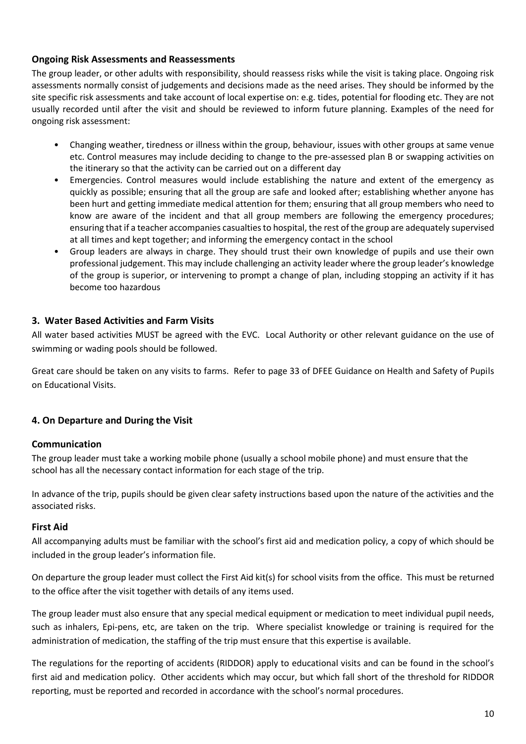#### <span id="page-9-0"></span>**Ongoing Risk Assessments and Reassessments**

The group leader, or other adults with responsibility, should reassess risks while the visit is taking place. Ongoing risk assessments normally consist of judgements and decisions made as the need arises. They should be informed by the site specific risk assessments and take account of local expertise on: e.g. tides, potential for flooding etc. They are not usually recorded until after the visit and should be reviewed to inform future planning. Examples of the need for ongoing risk assessment:

- Changing weather, tiredness or illness within the group, behaviour, issues with other groups at same venue etc. Control measures may include deciding to change to the pre-assessed plan B or swapping activities on the itinerary so that the activity can be carried out on a different day
- Emergencies. Control measures would include establishing the nature and extent of the emergency as quickly as possible; ensuring that all the group are safe and looked after; establishing whether anyone has been hurt and getting immediate medical attention for them; ensuring that all group members who need to know are aware of the incident and that all group members are following the emergency procedures; ensuring that if a teacher accompanies casualties to hospital, the rest of the group are adequately supervised at all times and kept together; and informing the emergency contact in the school
- Group leaders are always in charge. They should trust their own knowledge of pupils and use their own professional judgement. This may include challenging an activity leader where the group leader's knowledge of the group is superior, or intervening to prompt a change of plan, including stopping an activity if it has become too hazardous

#### <span id="page-9-1"></span>**3. Water Based Activities and Farm Visits**

All water based activities MUST be agreed with the EVC. Local Authority or other relevant guidance on the use of swimming or wading pools should be followed.

Great care should be taken on any visits to farms. Refer to page 33 of DFEE Guidance on Health and Safety of Pupils on Educational Visits.

#### **4. On Departure and During the Visit**

#### <span id="page-9-2"></span>**Communication**

The group leader must take a working mobile phone (usually a school mobile phone) and must ensure that the school has all the necessary contact information for each stage of the trip.

In advance of the trip, pupils should be given clear safety instructions based upon the nature of the activities and the associated risks.

#### <span id="page-9-3"></span>**First Aid**

All accompanying adults must be familiar with the school's first aid and medication policy, a copy of which should be included in the group leader's information file.

On departure the group leader must collect the First Aid kit(s) for school visits from the office. This must be returned to the office after the visit together with details of any items used.

The group leader must also ensure that any special medical equipment or medication to meet individual pupil needs, such as inhalers, Epi-pens, etc, are taken on the trip. Where specialist knowledge or training is required for the administration of medication, the staffing of the trip must ensure that this expertise is available.

The regulations for the reporting of accidents (RIDDOR) apply to educational visits and can be found in the school's first aid and medication policy. Other accidents which may occur, but which fall short of the threshold for RIDDOR reporting, must be reported and recorded in accordance with the school's normal procedures.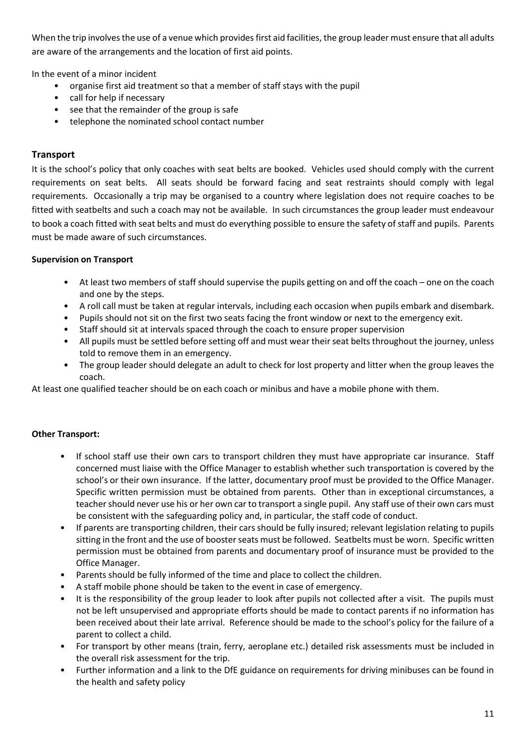When the trip involves the use of a venue which provides first aid facilities, the group leader must ensure that all adults are aware of the arrangements and the location of first aid points.

In the event of a minor incident

- organise first aid treatment so that a member of staff stays with the pupil
- call for help if necessary
- see that the remainder of the group is safe
- telephone the nominated school contact number

#### <span id="page-10-0"></span>**Transport**

It is the school's policy that only coaches with seat belts are booked. Vehicles used should comply with the current requirements on seat belts. All seats should be forward facing and seat restraints should comply with legal requirements. Occasionally a trip may be organised to a country where legislation does not require coaches to be fitted with seatbelts and such a coach may not be available. In such circumstances the group leader must endeavour to book a coach fitted with seat belts and must do everything possible to ensure the safety of staff and pupils. Parents must be made aware of such circumstances.

#### **Supervision on Transport**

- At least two members of staff should supervise the pupils getting on and off the coach one on the coach and one by the steps.
- A roll call must be taken at regular intervals, including each occasion when pupils embark and disembark.
- Pupils should not sit on the first two seats facing the front window or next to the emergency exit.
- Staff should sit at intervals spaced through the coach to ensure proper supervision
- All pupils must be settled before setting off and must wear their seat belts throughout the journey, unless told to remove them in an emergency.
- The group leader should delegate an adult to check for lost property and litter when the group leaves the coach.

At least one qualified teacher should be on each coach or minibus and have a mobile phone with them.

#### <span id="page-10-1"></span>**Other Transport:**

- If school staff use their own cars to transport children they must have appropriate car insurance. Staff concerned must liaise with the Office Manager to establish whether such transportation is covered by the school's or their own insurance. If the latter, documentary proof must be provided to the Office Manager. Specific written permission must be obtained from parents. Other than in exceptional circumstances, a teacher should never use his or her own car to transport a single pupil. Any staff use of their own cars must be consistent with the safeguarding policy and, in particular, the staff code of conduct.
- If parents are transporting children, their cars should be fully insured; relevant legislation relating to pupils sitting in the front and the use of booster seats must be followed. Seatbelts must be worn. Specific written permission must be obtained from parents and documentary proof of insurance must be provided to the Office Manager.
- Parents should be fully informed of the time and place to collect the children.
- A staff mobile phone should be taken to the event in case of emergency.
- It is the responsibility of the group leader to look after pupils not collected after a visit. The pupils must not be left unsupervised and appropriate efforts should be made to contact parents if no information has been received about their late arrival. Reference should be made to the school's policy for the failure of a parent to collect a child.
- For transport by other means (train, ferry, aeroplane etc.) detailed risk assessments must be included in the overall risk assessment for the trip.
- Further information and a link to the DfE guidance on requirements for driving minibuses can be found in the health and safety policy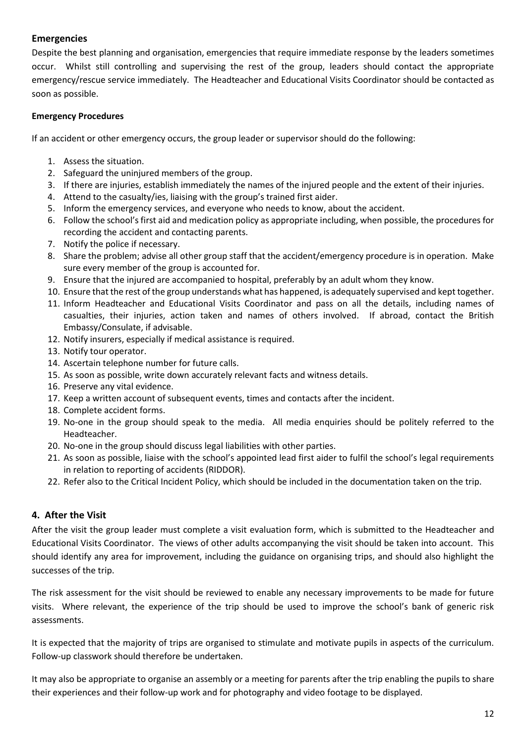#### **Emergencies**

Despite the best planning and organisation, emergencies that require immediate response by the leaders sometimes occur. Whilst still controlling and supervising the rest of the group, leaders should contact the appropriate emergency/rescue service immediately. The Headteacher and Educational Visits Coordinator should be contacted as soon as possible.

#### **Emergency Procedures**

If an accident or other emergency occurs, the group leader or supervisor should do the following:

- 1. Assess the situation.
- 2. Safeguard the uninjured members of the group.
- 3. If there are injuries, establish immediately the names of the injured people and the extent of their injuries.
- 4. Attend to the casualty/ies, liaising with the group's trained first aider.
- 5. Inform the emergency services, and everyone who needs to know, about the accident.
- 6. Follow the school's first aid and medication policy as appropriate including, when possible, the procedures for recording the accident and contacting parents.
- 7. Notify the police if necessary.
- 8. Share the problem; advise all other group staff that the accident/emergency procedure is in operation. Make sure every member of the group is accounted for.
- 9. Ensure that the injured are accompanied to hospital, preferably by an adult whom they know.
- 10. Ensure that the rest of the group understands what has happened, is adequately supervised and kept together.
- 11. Inform Headteacher and Educational Visits Coordinator and pass on all the details, including names of casualties, their injuries, action taken and names of others involved. If abroad, contact the British Embassy/Consulate, if advisable.
- 12. Notify insurers, especially if medical assistance is required.
- 13. Notify tour operator.
- 14. Ascertain telephone number for future calls.
- 15. As soon as possible, write down accurately relevant facts and witness details.
- 16. Preserve any vital evidence.
- 17. Keep a written account of subsequent events, times and contacts after the incident.
- 18. Complete accident forms.
- 19. No-one in the group should speak to the media. All media enquiries should be politely referred to the Headteacher.
- 20. No-one in the group should discuss legal liabilities with other parties.
- 21. As soon as possible, liaise with the school's appointed lead first aider to fulfil the school's legal requirements in relation to reporting of accidents (RIDDOR).
- <span id="page-11-0"></span>22. Refer also to the Critical Incident Policy, which should be included in the documentation taken on the trip.

#### **4. After the Visit**

After the visit the group leader must complete a visit evaluation form, which is submitted to the Headteacher and Educational Visits Coordinator. The views of other adults accompanying the visit should be taken into account. This should identify any area for improvement, including the guidance on organising trips, and should also highlight the successes of the trip.

The risk assessment for the visit should be reviewed to enable any necessary improvements to be made for future visits. Where relevant, the experience of the trip should be used to improve the school's bank of generic risk assessments.

It is expected that the majority of trips are organised to stimulate and motivate pupils in aspects of the curriculum. Follow-up classwork should therefore be undertaken.

It may also be appropriate to organise an assembly or a meeting for parents after the trip enabling the pupils to share their experiences and their follow-up work and for photography and video footage to be displayed.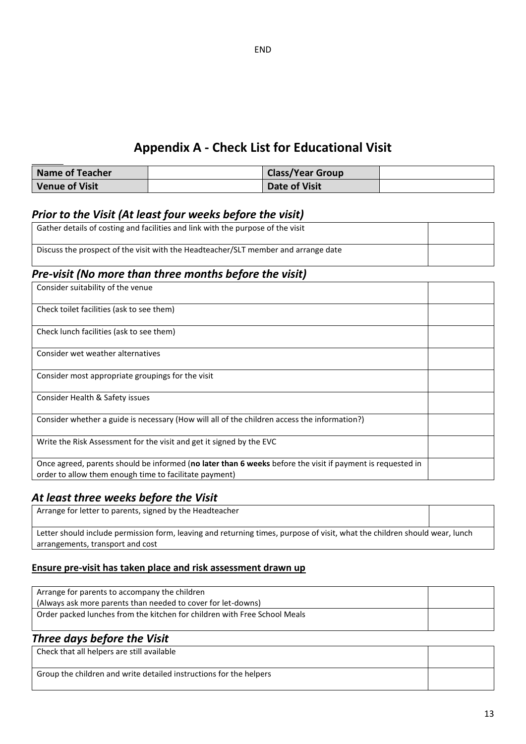## **Appendix A - Check List for Educational Visit**

| Name of Teacher | <b>Class/Year Group</b> |  |
|-----------------|-------------------------|--|
| Venue of Visit  | Date of Visit           |  |

#### *Prior to the Visit (At least four weeks before the visit)*

| Gather details of costing and facilities and link with the purpose of the visit    |  |
|------------------------------------------------------------------------------------|--|
| Discuss the prospect of the visit with the Headteacher/SLT member and arrange date |  |

## *Pre-visit (No more than three months before the visit)*

| Consider suitability of the venue                                                                                                                                    |  |
|----------------------------------------------------------------------------------------------------------------------------------------------------------------------|--|
| Check toilet facilities (ask to see them)                                                                                                                            |  |
| Check lunch facilities (ask to see them)                                                                                                                             |  |
| Consider wet weather alternatives                                                                                                                                    |  |
| Consider most appropriate groupings for the visit                                                                                                                    |  |
| Consider Health & Safety issues                                                                                                                                      |  |
| Consider whether a guide is necessary (How will all of the children access the information?)                                                                         |  |
| Write the Risk Assessment for the visit and get it signed by the EVC                                                                                                 |  |
| Once agreed, parents should be informed (no later than 6 weeks before the visit if payment is requested in<br>order to allow them enough time to facilitate payment) |  |

#### *At least three weeks before the Visit*

| Arrange for letter to parents, signed by the Headteacher                                                                   |  |
|----------------------------------------------------------------------------------------------------------------------------|--|
|                                                                                                                            |  |
| Letter should include permission form, leaving and returning times, purpose of visit, what the children should wear, lunch |  |
| arrangements, transport and cost                                                                                           |  |

#### **Ensure pre-visit has taken place and risk assessment drawn up**

| Arrange for parents to accompany the children<br>(Always ask more parents than needed to cover for let-downs) |  |
|---------------------------------------------------------------------------------------------------------------|--|
| Order packed lunches from the kitchen for children with Free School Meals                                     |  |

### *Three days before the Visit*

| Check that all helpers are still available                         |  |
|--------------------------------------------------------------------|--|
| Group the children and write detailed instructions for the helpers |  |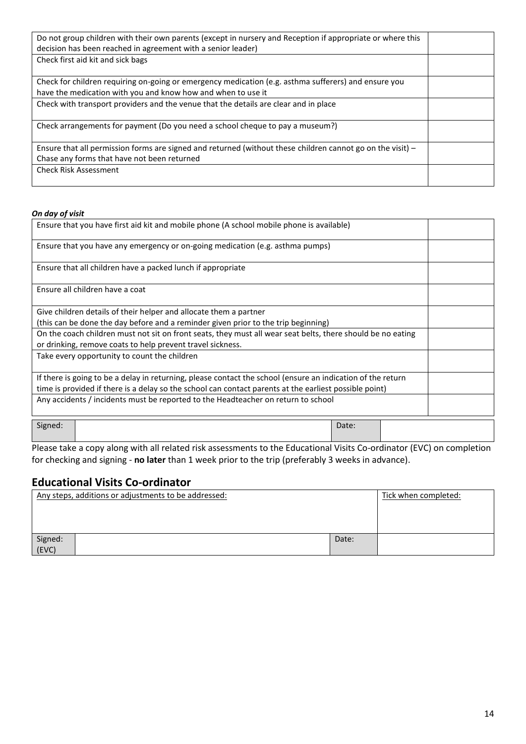| Do not group children with their own parents (except in nursery and Reception if appropriate or where this   |  |
|--------------------------------------------------------------------------------------------------------------|--|
| decision has been reached in agreement with a senior leader)                                                 |  |
| Check first aid kit and sick bags                                                                            |  |
|                                                                                                              |  |
| Check for children requiring on-going or emergency medication (e.g. asthma sufferers) and ensure you         |  |
| have the medication with you and know how and when to use it                                                 |  |
| Check with transport providers and the venue that the details are clear and in place                         |  |
|                                                                                                              |  |
| Check arrangements for payment (Do you need a school cheque to pay a museum?)                                |  |
|                                                                                                              |  |
| Ensure that all permission forms are signed and returned (without these children cannot go on the visit) $-$ |  |
| Chase any forms that have not been returned                                                                  |  |
| <b>Check Risk Assessment</b>                                                                                 |  |
|                                                                                                              |  |

#### *On day of visit*

| Ensure that you have first aid kit and mobile phone (A school mobile phone is available)                    |       |  |
|-------------------------------------------------------------------------------------------------------------|-------|--|
| Ensure that you have any emergency or on-going medication (e.g. asthma pumps)                               |       |  |
| Ensure that all children have a packed lunch if appropriate                                                 |       |  |
| Ensure all children have a coat                                                                             |       |  |
| Give children details of their helper and allocate them a partner                                           |       |  |
| (this can be done the day before and a reminder given prior to the trip beginning)                          |       |  |
| On the coach children must not sit on front seats, they must all wear seat belts, there should be no eating |       |  |
| or drinking, remove coats to help prevent travel sickness.                                                  |       |  |
| Take every opportunity to count the children                                                                |       |  |
| If there is going to be a delay in returning, please contact the school (ensure an indication of the return |       |  |
| time is provided if there is a delay so the school can contact parents at the earliest possible point)      |       |  |
| Any accidents / incidents must be reported to the Headteacher on return to school                           |       |  |
| Signed:                                                                                                     | Date: |  |

Please take a copy along with all related risk assessments to the Educational Visits Co-ordinator (EVC) on completion for checking and signing - **no later** than 1 week prior to the trip (preferably 3 weeks in advance).

### **Educational Visits Co-ordinator**

|                  | Any steps, additions or adjustments to be addressed: |       | Tick when completed: |
|------------------|------------------------------------------------------|-------|----------------------|
|                  |                                                      |       |                      |
|                  |                                                      |       |                      |
| Signed:<br>(EVC) |                                                      | Date: |                      |
|                  |                                                      |       |                      |